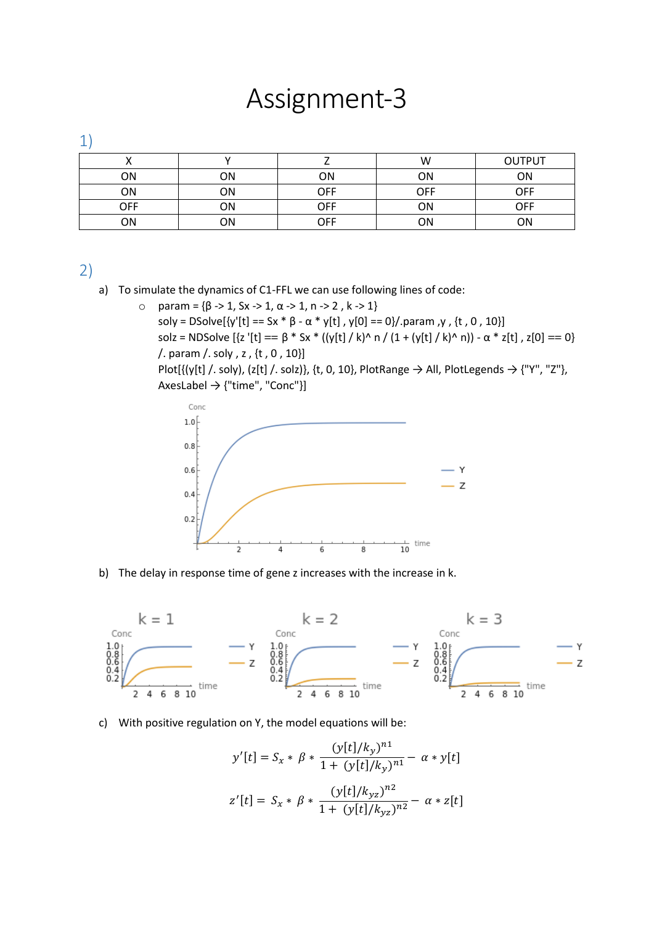## Assignment-3

1)

|     |    |     | W   | <b>OUTPUT</b> |
|-----|----|-----|-----|---------------|
| ΟN  | ΟN | OΝ  | ΟN  | ΟN            |
| ΟN  | ΟN | OFF | OFF | OFF           |
| OFF | ΟN | OFF | ΟN  | OFF           |
| ΟN  | ΟN | OFF | ΟN  | ωN            |

2)

- a) To simulate the dynamics of C1-FFL we can use following lines of code:
	- o param = {β -> 1, Sx -> 1, α -> 1, n -> 2 , k -> 1} soly = DSolve[{y'[t] == Sx \* β - α \* y[t], y[0] == 0}/.param, y, {t, 0, 10}] solz = NDSolve  $[\{z' [t] == \beta * Sx * ((y[t] / k) \land n / (1 + (y[t] / k) \land n)] - \alpha * z[t]$ ,  $z[0] == 0\}$ /. param /. soly , z , {t , 0 , 10}] Plot[{(y[t] /. soly), (z[t] /. solz)}, {t, 0, 10}, PlotRange  $\rightarrow$  All, PlotLegends  $\rightarrow$  {"Y", "Z"},





b) The delay in response time of gene z increases with the increase in k.



## c) With positive regulation on Y, the model equations will be:

$$
y'[t] = S_x * \beta * \frac{(y[t]/k_y)^{n_1}}{1 + (y[t]/k_y)^{n_1}} - \alpha * y[t]
$$
  

$$
z'[t] = S_x * \beta * \frac{(y[t]/k_{yz})^{n_2}}{1 + (y[t]/k_{yz})^{n_2}} - \alpha * z[t]
$$